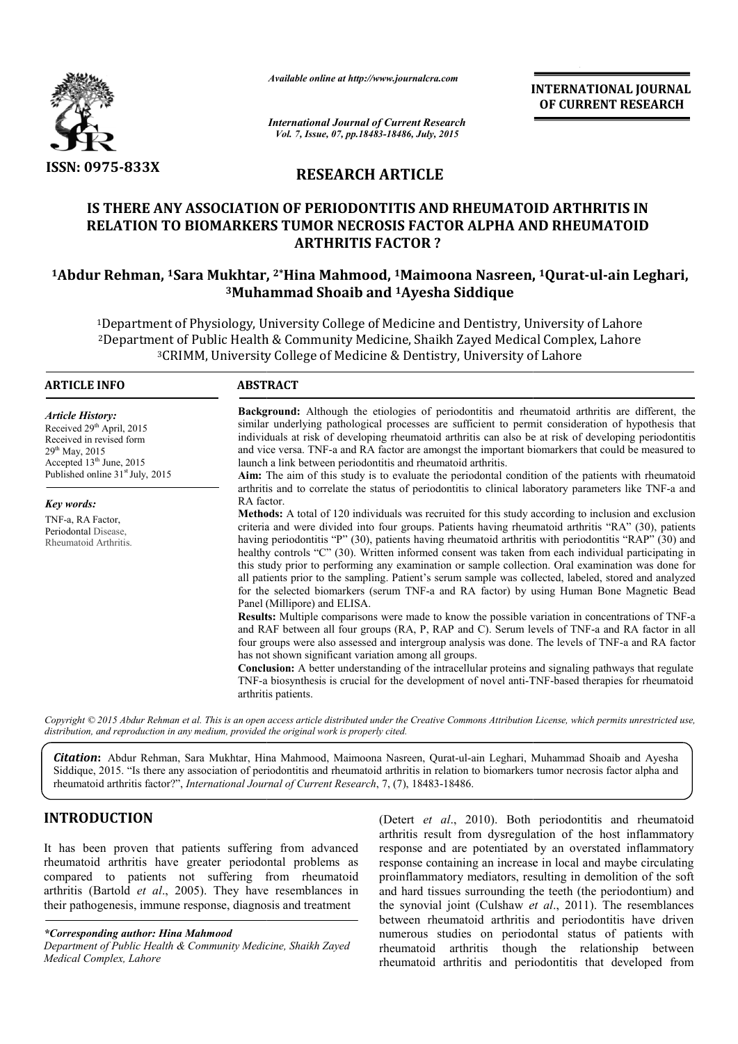

*Available online at http://www.journalcra.com*

**INTERNATIONAL INTERNATIONAL JOURNAL OF CURRENT RESEARCH** 

*International Journal of Current Research Vol. 7, Issue, 07, pp.18483-18486, July, 2015*

# **RESEARCH ARTICLE**

# **IS THERE ANY ASSOCIATION OF PERIODONTITIS AND RHEUMATOID ARTHRITIS IN RELATION TO BIOMARKERS TUMOR NECROSIS FACTOR ALPHA AND RHEUMATOID ARTHRITIS FACTOR ?**

# **1Abdur Rehman, 1Sara Mukhtar, Sara 2\*Hina Mahmood, 1Maimoona Nasreen, Maimoona 1Qurat-ul-ain Leghari, 3Muhammad Shoaib and Muhammad 1Ayesha Siddique**

1Department of Physiology, University College of Medicine and Dentistry, University of Lahore 2Department of Public Health & Community Medicine, Shaikh Zayed Medical Complex, Lahore <sup>3</sup>CRIMM, University College of Medicine & Dentistry, University of Lahore Department of Physiology, University College of Medicine and Dentistry, University of Lahor<br>Department of Public Health & Community Medicine, Shaikh Zayed Medical Complex, Lahor<sup>3</sup>CRIMM, University College of Medicine & De

| <b>ARTICLE INFO</b>                                                                                                                                                                  | <b>ABSTRACT</b>                                                                                                                                                                                                                                                                                                                                                                                                                                                                                                                                                                                                                                                                                                                                                                   |  |  |
|--------------------------------------------------------------------------------------------------------------------------------------------------------------------------------------|-----------------------------------------------------------------------------------------------------------------------------------------------------------------------------------------------------------------------------------------------------------------------------------------------------------------------------------------------------------------------------------------------------------------------------------------------------------------------------------------------------------------------------------------------------------------------------------------------------------------------------------------------------------------------------------------------------------------------------------------------------------------------------------|--|--|
| <b>Article History:</b><br>Received 29 <sup>th</sup> April, 2015<br>Received in revised form<br>$29th$ May, 2015<br>Accepted $13th$ June, 2015<br>Published online $31st$ July, 2015 | <b>Background:</b> Although the etiologies of periodontitis and rheumatoid arthritis are different, the<br>similar underlying pathological processes are sufficient to permit consideration of hypothesis that<br>individuals at risk of developing rheumatoid arthritis can also be at risk of developing periodontitis<br>and vice versa. TNF-a and RA factor are amongst the important biomarkers that could be measured to<br>launch a link between periodontitis and rheumatoid arthritis.<br>Aim: The aim of this study is to evaluate the periodontal condition of the patients with rheumatoid                                                                                                                                                                            |  |  |
|                                                                                                                                                                                      | arthritis and to correlate the status of periodontitis to clinical laboratory parameters like TNF-a and<br>RA factor.                                                                                                                                                                                                                                                                                                                                                                                                                                                                                                                                                                                                                                                             |  |  |
| Key words:                                                                                                                                                                           |                                                                                                                                                                                                                                                                                                                                                                                                                                                                                                                                                                                                                                                                                                                                                                                   |  |  |
| TNF-a, RA Factor,<br>Periodontal Disease,<br>Rheumatoid Arthritis.                                                                                                                   | <b>Methods:</b> A total of 120 individuals was recruited for this study according to inclusion and exclusion<br>criteria and were divided into four groups. Patients having rheumatoid arthritis "RA" (30), patients<br>having periodontitis "P" (30), patients having rheumatoid arthritis with periodontitis "RAP" (30) and<br>healthy controls "C" (30). Written informed consent was taken from each individual participating in<br>this study prior to performing any examination or sample collection. Oral examination was done for<br>all patients prior to the sampling. Patient's serum sample was collected, labeled, stored and analyzed<br>for the selected biomarkers (serum TNF-a and RA factor) by using Human Bone Magnetic Bead<br>Panel (Millipore) and ELISA. |  |  |
|                                                                                                                                                                                      | <b>Results:</b> Multiple comparisons were made to know the possible variation in concentrations of TNF-a<br>and RAF between all four groups (RA, P, RAP and C). Serum levels of TNF-a and RA factor in all<br>four groups were also assessed and intergroup analysis was done. The levels of TNF-a and RA factor<br>has not shown significant variation among all groups.<br><b>Conclusion:</b> A better understanding of the intracellular proteins and signaling pathways that regulate<br>TNF-a biosynthesis is crucial for the development of novel anti-TNF-based therapies for rheumatoid                                                                                                                                                                                   |  |  |
|                                                                                                                                                                                      | arthritis patients.                                                                                                                                                                                                                                                                                                                                                                                                                                                                                                                                                                                                                                                                                                                                                               |  |  |

Copyright © 2015 Abdur Rehman et al. This is an open access article distributed under the Creative Commons Attribution License, which permits unrestricted use, *distribution, and reproduction in any medium, provided the original work is properly cited.*

Citation: Abdur Rehman, Sara Mukhtar, Hina Mahmood, Maimoona Nasreen, Qurat-ul-ain Leghari, Muhammad Shoaib and Ayesha Siddique, 2015. "Is there any association of periodontitis and rheumatoid arthritis in relation to biomarkers tumor necrosis factor alpha and rheumatoid arthritis factor?", *International Journal of Current Research*, 7, (7), 18483-18486.

## **INTRODUCTION**

It has been proven that patients suffering from advanced rheumatoid arthritis have greater periodontal problems as compared to patients not suffering from rheumatoid arthritis (Bartold *et al*., 2005). They have resemblances in their pathogenesis, immune response, diagnosis and treatment

*\*Corresponding author: Hina Mahmood*

*Department of Public Health & Community Medicine, Shaikh Zayed Medical Complex, Lahore*

**CTION** (Detert *et al.*, 2010). Both periodontitis and rheumatoid arthritis result from dysregulation of the host inflammatory response and are potentiated by an overstated inflammatory atthritis have greater periodontal arthritis result from dysregulation of the host inflammatory response and are potentiated by an overstated inflammatory response containing an increase in local and maybe circulating proinflammatory mediators, resulting in demolition of the soft and hard tissues surrounding the teeth (the periodontium) and the synovial joint (Culshaw *et al.*, 2011). The resemblances between rheumatoid arthritis and periodontitis have driven numerous studies on periodontal status of patients with rheumatoid arthritis though the relationship betw rheumatoid arthritis and periodontitis that developed from (Detert *et al.*, 2010). Both periodontitis and rheumant arthritis result from dysregulation of the host inflamma response and are potentiated by an overstated inflammators response containing an increase in local and may matoid arthritis and periodontitis have driven<br>udies on periodontal status of patients with<br>arthritis though the relationship between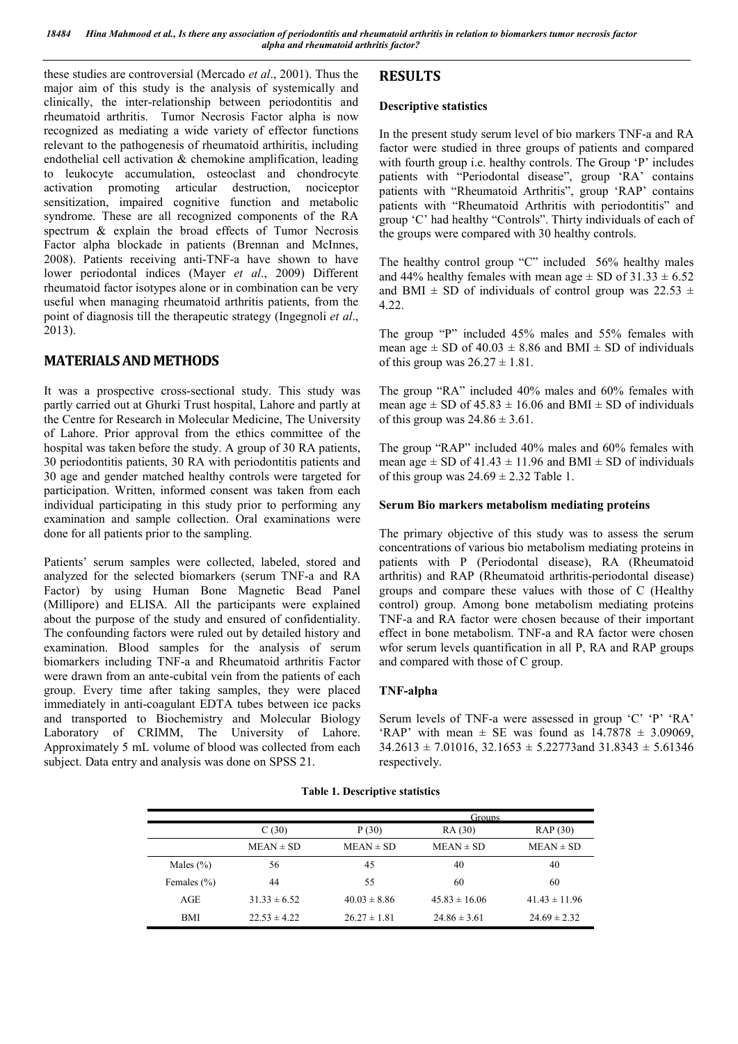these studies are controversial (Mercado *et al*., 2001). Thus the major aim of this study is the analysis of systemically and clinically, the inter-relationship between periodontitis and rheumatoid arthritis. Tumor Necrosis Factor alpha is now recognized as mediating a wide variety of effector functions relevant to the pathogenesis of rheumatoid arthiritis, including endothelial cell activation & chemokine amplification, leading to leukocyte accumulation, osteoclast and chondrocyte activation promoting articular destruction, nociceptor sensitization, impaired cognitive function and metabolic syndrome. These are all recognized components of the RA spectrum & explain the broad effects of Tumor Necrosis Factor alpha blockade in patients (Brennan and McInnes, 2008). Patients receiving anti-TNF-a have shown to have lower periodontal indices (Mayer *et al*., 2009) Different rheumatoid factor isotypes alone or in combination can be very useful when managing rheumatoid arthritis patients, from the point of diagnosis till the therapeutic strategy (Ingegnoli *et al*., 2013).

## **MATERIALS AND METHODS**

It was a prospective cross-sectional study. This study was partly carried out at Ghurki Trust hospital, Lahore and partly at the Centre for Research in Molecular Medicine, The University of Lahore. Prior approval from the ethics committee of the hospital was taken before the study. A group of 30 RA patients, 30 periodontitis patients, 30 RA with periodontitis patients and 30 age and gender matched healthy controls were targeted for participation. Written, informed consent was taken from each individual participating in this study prior to performing any examination and sample collection. Oral examinations were done for all patients prior to the sampling.

Patients' serum samples were collected, labeled, stored and analyzed for the selected biomarkers (serum TNF-a and RA Factor) by using Human Bone Magnetic Bead Panel (Millipore) and ELISA. All the participants were explained about the purpose of the study and ensured of confidentiality. The confounding factors were ruled out by detailed history and examination. Blood samples for the analysis of serum biomarkers including TNF-a and Rheumatoid arthritis Factor were drawn from an ante-cubital vein from the patients of each group. Every time after taking samples, they were placed immediately in anti-coagulant EDTA tubes between ice packs and transported to Biochemistry and Molecular Biology Laboratory of CRIMM, The University of Lahore. Approximately 5 mL volume of blood was collected from each subject. Data entry and analysis was done on SPSS 21.

# **RESULTS**

#### **Descriptive statistics**

In the present study serum level of bio markers TNF-a and RA factor were studied in three groups of patients and compared with fourth group i.e. healthy controls. The Group 'P' includes patients with "Periodontal disease", group 'RA' contains patients with "Rheumatoid Arthritis", group 'RAP' contains patients with "Rheumatoid Arthritis with periodontitis" and group 'C' had healthy "Controls". Thirty individuals of each of the groups were compared with 30 healthy controls.

The healthy control group "C" included 56% healthy males and 44% healthy females with mean age  $\pm$  SD of 31.33  $\pm$  6.52 and BMI  $\pm$  SD of individuals of control group was 22.53  $\pm$ 4.22.

The group "P" included 45% males and 55% females with mean age  $\pm$  SD of 40.03  $\pm$  8.86 and BMI  $\pm$  SD of individuals of this group was  $26.27 \pm 1.81$ .

The group "RA" included 40% males and 60% females with mean age  $\pm$  SD of 45.83  $\pm$  16.06 and BMI  $\pm$  SD of individuals of this group was  $24.86 \pm 3.61$ .

The group "RAP" included 40% males and 60% females with mean age  $\pm$  SD of 41.43  $\pm$  11.96 and BMI  $\pm$  SD of individuals of this group was  $24.69 \pm 2.32$  Table 1.

#### **Serum Bio markers metabolism mediating proteins**

The primary objective of this study was to assess the serum concentrations of various bio metabolism mediating proteins in patients with P (Periodontal disease), RA (Rheumatoid arthritis) and RAP (Rheumatoid arthritis-periodontal disease) groups and compare these values with those of C (Healthy control) group. Among bone metabolism mediating proteins TNF-a and RA factor were chosen because of their important effect in bone metabolism. TNF-a and RA factor were chosen wfor serum levels quantification in all P, RA and RAP groups and compared with those of C group.

#### **TNF-alpha**

Serum levels of TNF-a were assessed in group 'C' 'P' 'RA' 'RAP' with mean  $\pm$  SE was found as 14.7878  $\pm$  3.09069,  $34.2613 \pm 7.01016$ ,  $32.1653 \pm 5.22773$  and  $31.8343 \pm 5.61346$ respectively.

#### **Table 1. Descriptive statistics**

|                 |                  |                  | Groups            |                   |
|-----------------|------------------|------------------|-------------------|-------------------|
|                 | C(30)            | P(30)            | RA (30)           | RAP (30)          |
|                 | $MEAN \pm SD$    | $MEAN \pm SD$    | $MEAN \pm SD$     | $MEAN \pm SD$     |
| Males $(\% )$   | 56               | 45               | 40                | 40                |
| Females $(\% )$ | 44               | 55               | 60                | 60                |
| AGE             | $31.33 \pm 6.52$ | $40.03 \pm 8.86$ | $45.83 \pm 16.06$ | $41.43 \pm 11.96$ |
| <b>BMI</b>      | $22.53 \pm 4.22$ | $26.27 \pm 1.81$ | $24.86 \pm 3.61$  | $24.69 \pm 2.32$  |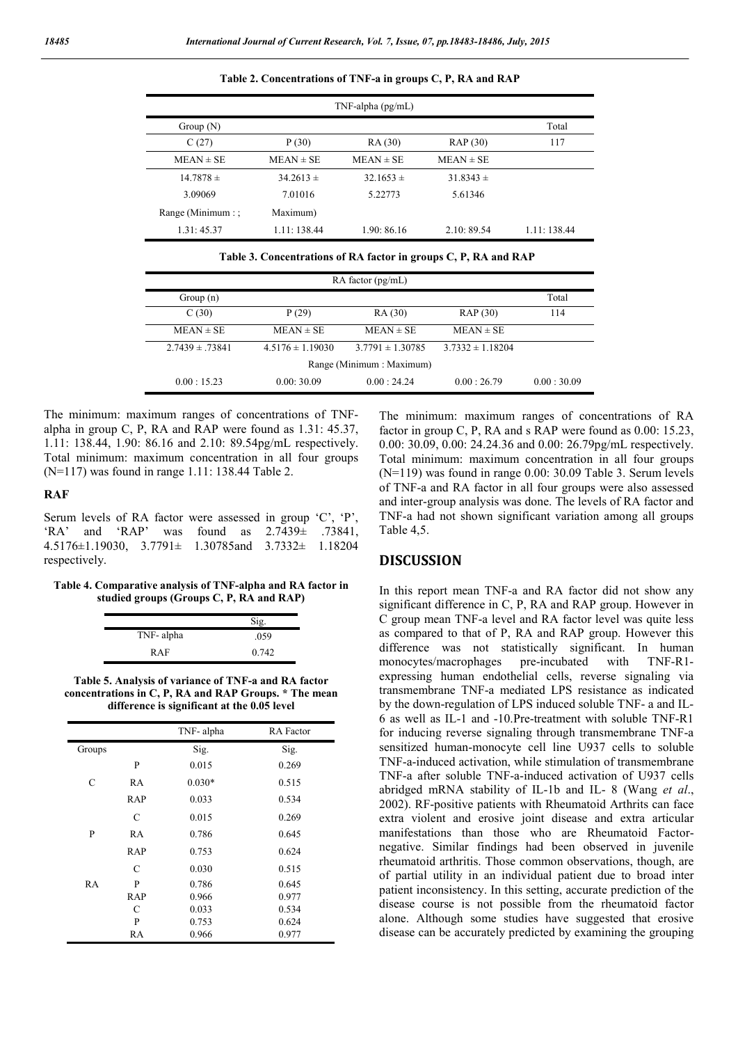|                    |               | $TNF$ -alpha (pg/mL) |               |             |
|--------------------|---------------|----------------------|---------------|-------------|
| Group $(N)$        |               |                      |               | Total       |
| C(27)              | P(30)         | RA (30)              | RAP (30)      | 117         |
| $MEAN \pm SE$      | $MEAN \pm SE$ | $MEAN \pm SE$        | $MEAN \pm SE$ |             |
| $14.7878 \pm$      | $34.2613 \pm$ | $32.1653 \pm$        | $31.8343 \pm$ |             |
| 3.09069            | 7.01016       | 5.22773              | 5.61346       |             |
| Range (Minimum : ; | Maximum)      |                      |               |             |
| 1.31:45.37         | 1.11: 138.44  | 1.90:86.16           | 2.10:89.54    | 1.11:138.44 |

**Table 2. Concentrations of TNF-a in groups C, P, RA and RAP**

|                           |                     |                      | $RA$ factor $(pg/mL)$ |                      |            |  |
|---------------------------|---------------------|----------------------|-----------------------|----------------------|------------|--|
|                           | Group $(n)$         |                      |                       |                      | Total      |  |
|                           | C(30)               | P(29)                | RA (30)               | RAP (30)             | 114        |  |
|                           | $MEAN \pm SE$       | $MEAN \pm SE$        | $MEAN \pm SE$         | $MEAN \pm SE$        |            |  |
|                           | $2.7439 \pm .73841$ | $4.5176 \pm 1.19030$ | $3.7791 \pm 1.30785$  | $3.7332 \pm 1.18204$ |            |  |
| Range (Minimum : Maximum) |                     |                      |                       |                      |            |  |
|                           | 0.00:15.23          | 0.00:30.09           | 0.00 : 24.24          | 0.00:26.79           | 0.00:30.09 |  |

The minimum: maximum ranges of concentrations of TNFalpha in group C, P, RA and RAP were found as 1.31: 45.37, 1.11: 138.44, 1.90: 86.16 and 2.10: 89.54pg/mL respectively. Total minimum: maximum concentration in all four groups (N=117) was found in range 1.11: 138.44 Table 2.

#### **RAF**

Serum levels of RA factor were assessed in group 'C', 'P', 'RA' and 'RAP' was found as 2.7439± .73841, 4.5176±1.19030, 3.7791± 1.30785and 3.7332± 1.18204 respectively.

#### **Table 4. Comparative analysis of TNF-alpha and RA factor in studied groups (Groups C, P, RA and RAP)**

|           | Sig.  |
|-----------|-------|
| TNF-alpha | .059  |
| RAF       | 0.742 |

**Table 5. Analysis of variance of TNF-a and RA factor concentrations in C, P, RA and RAP Groups. \* The mean difference is significant at the 0.05 level**

|           |     | TNF-alpha | <b>RA</b> Factor |
|-----------|-----|-----------|------------------|
| Groups    |     | Sig.      | Sig.             |
|           | P   | 0.015     | 0.269            |
| C         | RA  | $0.030*$  | 0.515            |
|           | RAP | 0.033     | 0.534            |
|           | C   | 0.015     | 0.269            |
| P         | RA  | 0.786     | 0.645            |
|           | RAP | 0.753     | 0.624            |
|           | C   | 0.030     | 0.515            |
| <b>RA</b> | P   | 0.786     | 0.645            |
|           | RAP | 0.966     | 0.977            |
|           | С   | 0.033     | 0.534            |
|           | P   | 0.753     | 0.624            |
|           | RA  | 0.966     | 0.977            |

The minimum: maximum ranges of concentrations of RA factor in group C, P, RA and s RAP were found as 0.00: 15.23, 0.00: 30.09, 0.00: 24.24.36 and 0.00: 26.79pg/mL respectively. Total minimum: maximum concentration in all four groups (N=119) was found in range 0.00: 30.09 Table 3. Serum levels of TNF-a and RA factor in all four groups were also assessed and inter-group analysis was done. The levels of RA factor and TNF-a had not shown significant variation among all groups Table 4,5.

## **DISCUSSION**

In this report mean TNF-a and RA factor did not show any significant difference in C, P, RA and RAP group. However in C group mean TNF-a level and RA factor level was quite less as compared to that of P, RA and RAP group. However this difference was not statistically significant. In human monocytes/macrophages pre-incubated with TNF-R1 expressing human endothelial cells, reverse signaling via transmembrane TNF-a mediated LPS resistance as indicated by the down-regulation of LPS induced soluble TNF- a and IL-6 as well as IL-1 and -10.Pre-treatment with soluble TNF-R1 for inducing reverse signaling through transmembrane TNF-a sensitized human-monocyte cell line U937 cells to soluble TNF-a-induced activation, while stimulation of transmembrane TNF-a after soluble TNF-a-induced activation of U937 cells abridged mRNA stability of IL-1b and IL- 8 (Wang *et al*., 2002). RF-positive patients with Rheumatoid Arthrits can face extra violent and erosive joint disease and extra articular manifestations than those who are Rheumatoid Factornegative. Similar findings had been observed in juvenile rheumatoid arthritis. Those common observations, though, are of partial utility in an individual patient due to broad inter patient inconsistency. In this setting, accurate prediction of the disease course is not possible from the rheumatoid factor alone. Although some studies have suggested that erosive disease can be accurately predicted by examining the grouping